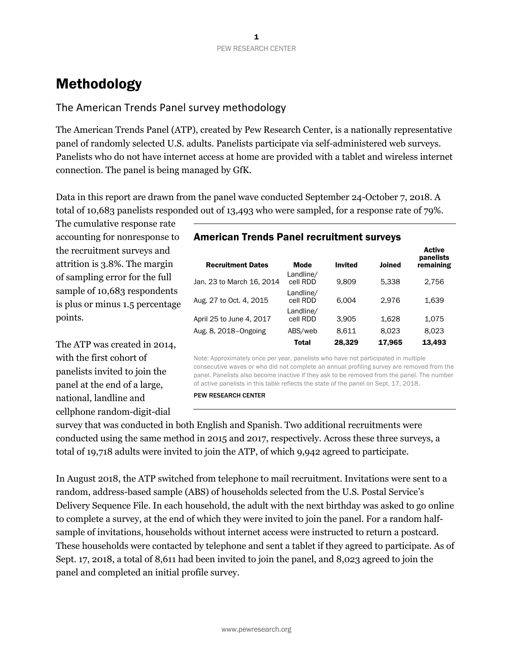# Methodology

# The American Trends Panel survey methodology

The American Trends Panel (ATP), created by Pew Research Center, is a nationally representative panel of randomly selected U.S. adults. Panelists participate via self-administered web surveys. Panelists who do not have internet access at home are provided with a tablet and wireless internet connection. The panel is being managed by GfK.

Data in this report are drawn from the panel wave conducted September 24-October 7, 2018. A total of 10,683 panelists responded out of 13,493 who were sampled, for a response rate of 79%.

The cumulative response rate accounting for nonresponse to the recruitment surveys and attrition is 3.8%. The margin of sampling error for the full sample of 10,683 respondents is plus or minus 1.5 percentage points.

The ATP was created in 2014, with the first cohort of panelists invited to join the panel at the end of a large, national, landline and cellphone random-digit-dial

## American Trends Panel recruitment surveys

| <b>Recruitment Dates</b>  | <b>Mode</b>           | <b>Invited</b> | Joined | ACUVE<br>panelists<br>remaining |
|---------------------------|-----------------------|----------------|--------|---------------------------------|
| Jan. 23 to March 16, 2014 | Landline/<br>cell RDD | 9.809          | 5.338  | 2.756                           |
| Aug. 27 to Oct. 4, 2015   | Landline/<br>cell RDD | 6.004          | 2.976  | 1,639                           |
| April 25 to June 4, 2017  | Landline/<br>cell RDD | 3.905          | 1.628  | 1,075                           |
| Aug. 8, 2018-Ongoing      | ABS/web               | 8.611          | 8.023  | 8.023                           |
|                           | <b>Total</b>          | 28,329         | 17,965 | 13,493                          |

Active

Note: Approximately once per year, panelists who have not participated in multiple consecutive waves or who did not complete an annual profiling survey are removed from the panel. Panelists also become inactive if they ask to be removed from the panel. The number of active panelists in this table reflects the state of the panel on Sept. 17, 2018.

PEW RESEARCH CENTER

survey that was conducted in both English and Spanish. Two additional recruitments were conducted using the same method in 2015 and 2017, respectively. Across these three surveys, a total of 19,718 adults were invited to join the ATP, of which 9,942 agreed to participate.

In August 2018, the ATP switched from telephone to mail recruitment. Invitations were sent to a random, address-based sample (ABS) of households selected from the U.S. Postal Service's Delivery Sequence File. In each household, the adult with the next birthday was asked to go online to complete a survey, at the end of which they were invited to join the panel. For a random halfsample of invitations, households without internet access were instructed to return a postcard. These households were contacted by telephone and sent a tablet if they agreed to participate. As of Sept. 17, 2018, a total of 8,611 had been invited to join the panel, and 8,023 agreed to join the panel and completed an initial profile survey.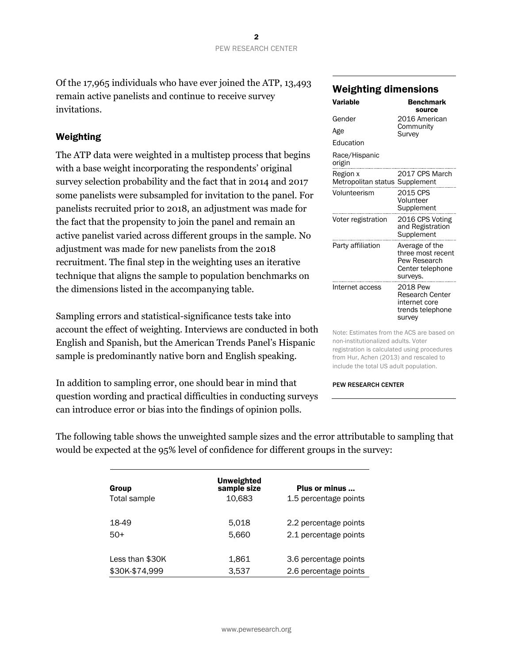Of the 17,965 individuals who have ever joined the ATP, 13,493 remain active panelists and continue to receive survey invitations.

# Weighting

The ATP data were weighted in a multistep process that begins with a base weight incorporating the respondents' original survey selection probability and the fact that in 2014 and 2017 some panelists were subsampled for invitation to the panel. For panelists recruited prior to 2018, an adjustment was made for the fact that the propensity to join the panel and remain an active panelist varied across different groups in the sample. No adjustment was made for new panelists from the 2018 recruitment. The final step in the weighting uses an iterative technique that aligns the sample to population benchmarks on the dimensions listed in the accompanying table.

Sampling errors and statistical-significance tests take into account the effect of weighting. Interviews are conducted in both English and Spanish, but the American Trends Panel's Hispanic sample is predominantly native born and English speaking.

In addition to sampling error, one should bear in mind that question wording and practical difficulties in conducting surveys can introduce error or bias into the findings of opinion polls.

# Weighting dimensions

| Variable                                   | <b>Benchmark</b><br>source                                                          |
|--------------------------------------------|-------------------------------------------------------------------------------------|
| Gender                                     | 2016 American                                                                       |
| Age                                        | Community<br>Survey                                                                 |
| Education                                  |                                                                                     |
| Race/Hispanic<br>origin                    |                                                                                     |
| Region x<br>Metropolitan status Supplement | 2017 CPS March                                                                      |
| Volunteerism                               | 2015 CPS<br>Volunteer<br>Supplement                                                 |
| Voter registration                         | 2016 CPS Voting<br>and Registration<br>Supplement                                   |
| Party affiliation                          | Average of the<br>three most recent<br>Pew Research<br>Center telephone<br>surveys. |
| Internet access                            | 2018 Pew<br>Research Center<br>internet core<br>trends telephone<br>survey          |

Note: Estimates from the ACS are based on non-institutionalized adults. Voter registration is calculated using procedures from Hur, Achen (2013) and rescaled to include the total US adult population.

#### PEW RESEARCH CENTER

The following table shows the unweighted sample sizes and the error attributable to sampling that would be expected at the 95% level of confidence for different groups in the survey:

| Group<br>Total sample | <b>Unweighted</b><br>sample size<br>10.683 | Plus or minus<br>1.5 percentage points         |
|-----------------------|--------------------------------------------|------------------------------------------------|
| 18-49<br>$50+$        | 5.018<br>5.660                             | 2.2 percentage points<br>2.1 percentage points |
| Less than \$30K       | 1,861                                      | 3.6 percentage points                          |
| \$30K-\$74,999        | 3,537                                      | 2.6 percentage points                          |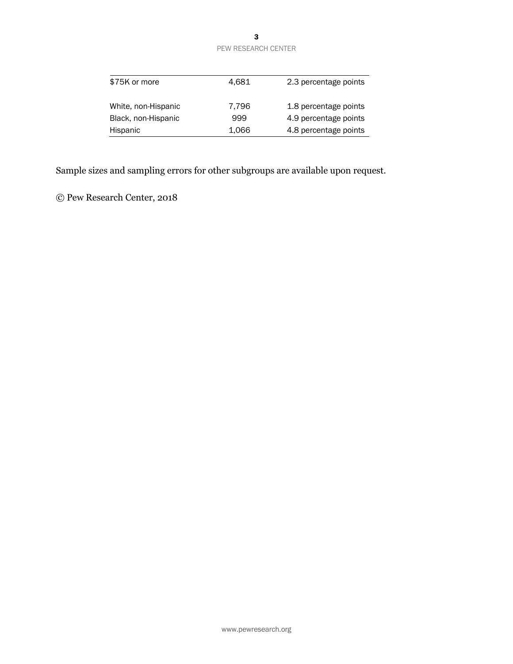### 3 PEW RESEARCH CENTER

| \$75K or more       | 4.681 | 2.3 percentage points |
|---------------------|-------|-----------------------|
| White, non-Hispanic | 7,796 | 1.8 percentage points |
| Black, non-Hispanic | 999   | 4.9 percentage points |
| Hispanic            | 1,066 | 4.8 percentage points |

Sample sizes and sampling errors for other subgroups are available upon request.

© Pew Research Center, 2018